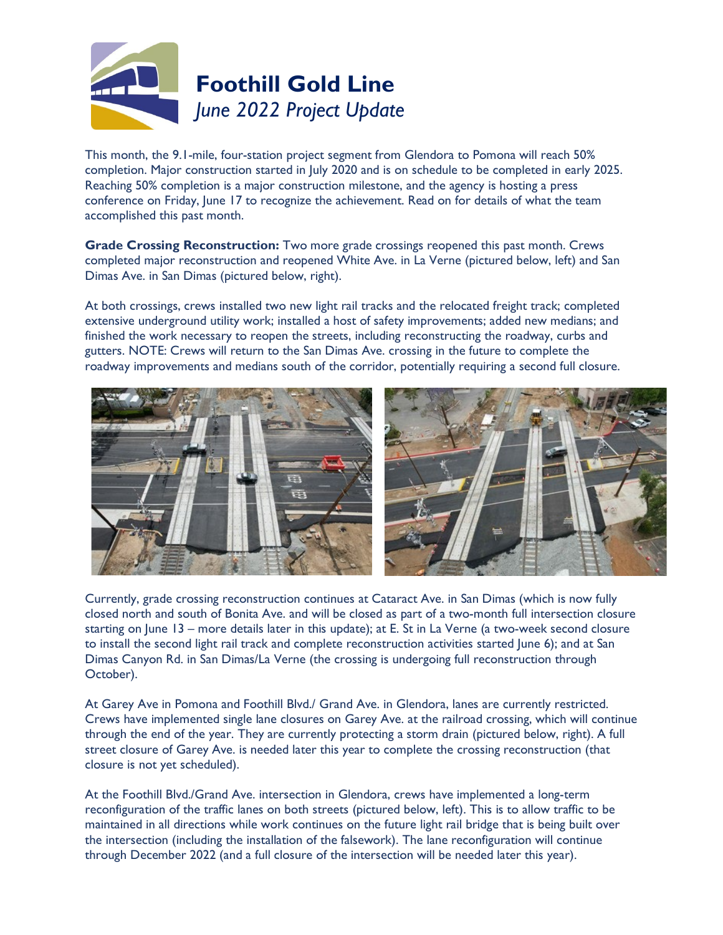

This month, the 9.1-mile, four-station project segment from Glendora to Pomona will reach 50% completion. Major construction started in July 2020 and is on schedule to be completed in early 2025. Reaching 50% completion is a major construction milestone, and the agency is hosting a press conference on Friday, June 17 to recognize the achievement. Read on for details of what the team accomplished this past month.

**Grade Crossing Reconstruction:** Two more grade crossings reopened this past month. Crews completed major reconstruction and reopened White Ave. in La Verne (pictured below, left) and San Dimas Ave. in San Dimas (pictured below, right).

At both crossings, crews installed two new light rail tracks and the relocated freight track; completed extensive underground utility work; installed a host of safety improvements; added new medians; and finished the work necessary to reopen the streets, including reconstructing the roadway, curbs and gutters. NOTE: Crews will return to the San Dimas Ave. crossing in the future to complete the roadway improvements and medians south of the corridor, potentially requiring a second full closure.



Currently, grade crossing reconstruction continues at Cataract Ave. in San Dimas (which is now fully closed north and south of Bonita Ave. and will be closed as part of a two-month full intersection closure starting on June 13 – more details later in this update); at E. St in La Verne (a two-week second closure to install the second light rail track and complete reconstruction activities started June 6); and at San Dimas Canyon Rd. in San Dimas/La Verne (the crossing is undergoing full reconstruction through October).

At Garey Ave in Pomona and Foothill Blvd./ Grand Ave. in Glendora, lanes are currently restricted. Crews have implemented single lane closures on Garey Ave. at the railroad crossing, which will continue through the end of the year. They are currently protecting a storm drain (pictured below, right). A full street closure of Garey Ave. is needed later this year to complete the crossing reconstruction (that closure is not yet scheduled).

At the Foothill Blvd./Grand Ave. intersection in Glendora, crews have implemented a long-term reconfiguration of the traffic lanes on both streets (pictured below, left). This is to allow traffic to be maintained in all directions while work continues on the future light rail bridge that is being built over the intersection (including the installation of the falsework). The lane reconfiguration will continue through December 2022 (and a full closure of the intersection will be needed later this year).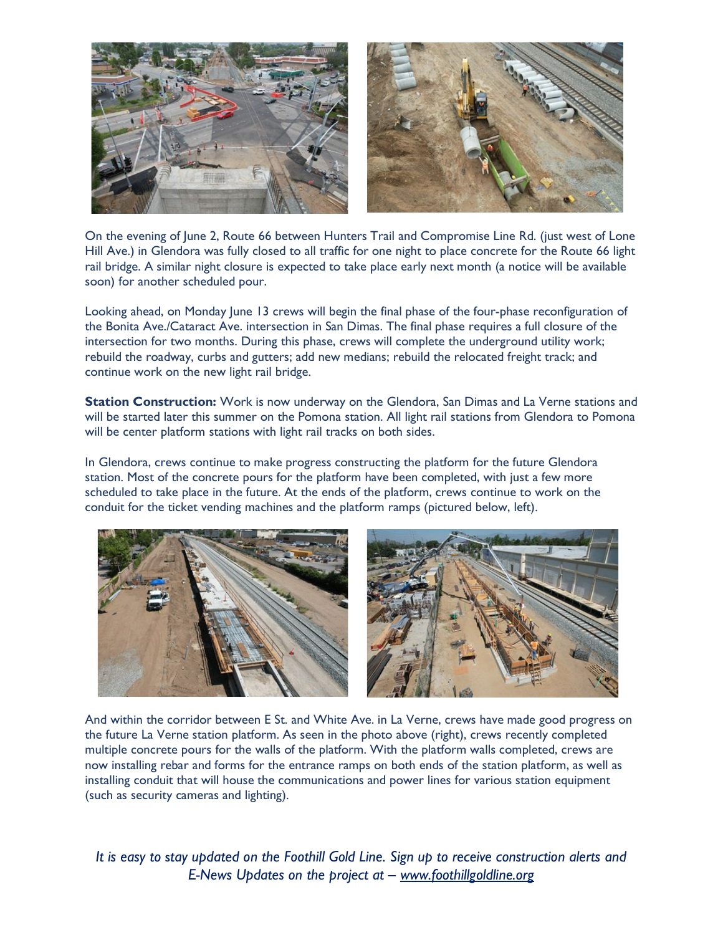

On the evening of June 2, Route 66 between Hunters Trail and Compromise Line Rd. (just west of Lone Hill Ave.) in Glendora was fully closed to all traffic for one night to place concrete for the Route 66 light rail bridge. A similar night closure is expected to take place early next month (a notice will be available soon) for another scheduled pour.

Looking ahead, on Monday June 13 crews will begin the final phase of the four-phase reconfiguration of the Bonita Ave./Cataract Ave. intersection in San Dimas. The final phase requires a full closure of the intersection for two months. During this phase, crews will complete the underground utility work; rebuild the roadway, curbs and gutters; add new medians; rebuild the relocated freight track; and continue work on the new light rail bridge.

**Station Construction:** Work is now underway on the Glendora, San Dimas and La Verne stations and will be started later this summer on the Pomona station. All light rail stations from Glendora to Pomona will be center platform stations with light rail tracks on both sides.

In Glendora, crews continue to make progress constructing the platform for the future Glendora station. Most of the concrete pours for the platform have been completed, with just a few more scheduled to take place in the future. At the ends of the platform, crews continue to work on the conduit for the ticket vending machines and the platform ramps (pictured below, left).



And within the corridor between E St. and White Ave. in La Verne, crews have made good progress on the future La Verne station platform. As seen in the photo above (right), crews recently completed multiple concrete pours for the walls of the platform. With the platform walls completed, crews are now installing rebar and forms for the entrance ramps on both ends of the station platform, as well as installing conduit that will house the communications and power lines for various station equipment (such as security cameras and lighting).

*It is easy to* s*tay updated on the Foothill Gold Line. Sign up to receive construction alerts and E-News Updates on the project at – [www.foothillgoldline.org](http://www.foothillextension.org/)*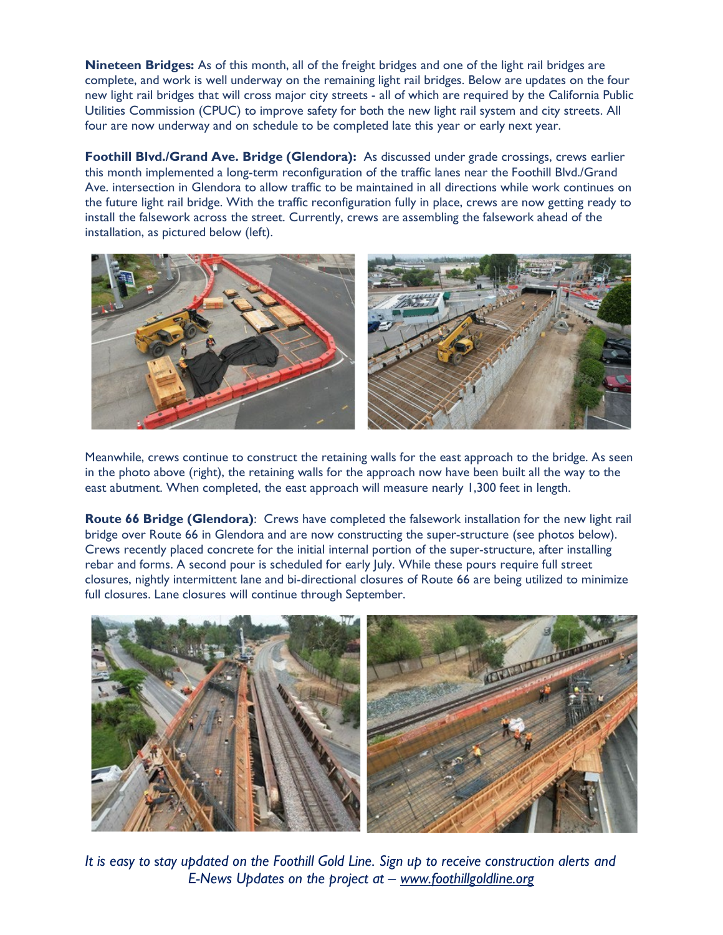**Nineteen Bridges:** As of this month, all of the freight bridges and one of the light rail bridges are complete, and work is well underway on the remaining light rail bridges. Below are updates on the four new light rail bridges that will cross major city streets - all of which are required by the California Public Utilities Commission (CPUC) to improve safety for both the new light rail system and city streets. All four are now underway and on schedule to be completed late this year or early next year.

**Foothill Blvd./Grand Ave. Bridge (Glendora):** As discussed under grade crossings, crews earlier this month implemented a long-term reconfiguration of the traffic lanes near the Foothill Blvd./Grand Ave. intersection in Glendora to allow traffic to be maintained in all directions while work continues on the future light rail bridge. With the traffic reconfiguration fully in place, crews are now getting ready to install the falsework across the street. Currently, crews are assembling the falsework ahead of the installation, as pictured below (left).



Meanwhile, crews continue to construct the retaining walls for the east approach to the bridge. As seen in the photo above (right), the retaining walls for the approach now have been built all the way to the east abutment. When completed, the east approach will measure nearly 1,300 feet in length.

**Route 66 Bridge (Glendora)**: Crews have completed the falsework installation for the new light rail bridge over Route 66 in Glendora and are now constructing the super-structure (see photos below). Crews recently placed concrete for the initial internal portion of the super-structure, after installing rebar and forms. A second pour is scheduled for early July. While these pours require full street closures, nightly intermittent lane and bi-directional closures of Route 66 are being utilized to minimize full closures. Lane closures will continue through September.



*It is easy to* s*tay updated on the Foothill Gold Line. Sign up to receive construction alerts and E-News Updates on the project at – [www.foothillgoldline.org](http://www.foothillextension.org/)*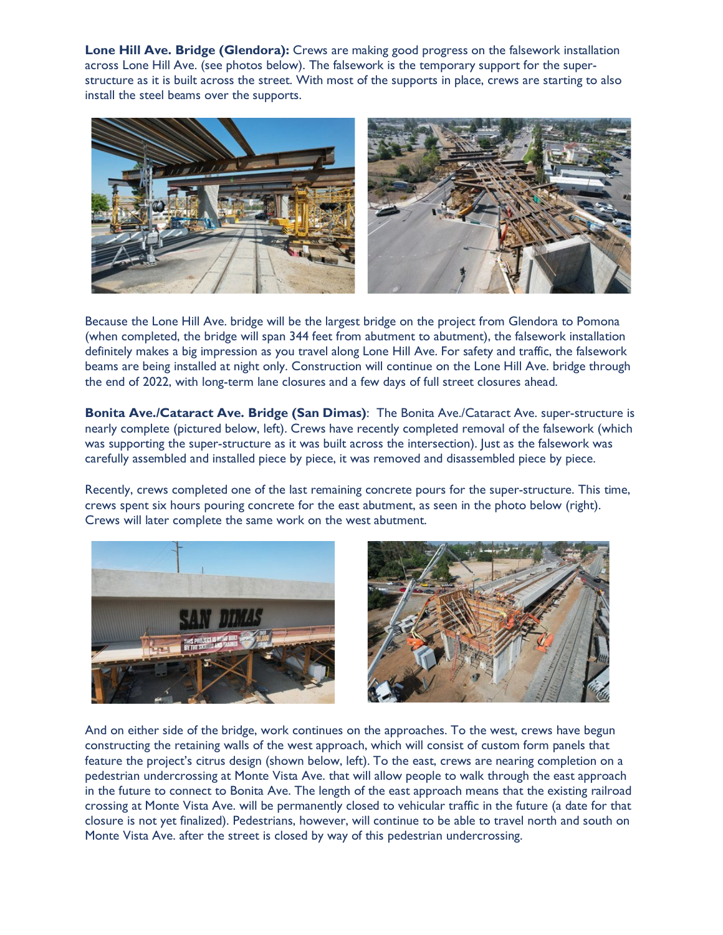**Lone Hill Ave. Bridge (Glendora):** Crews are making good progress on the falsework installation across Lone Hill Ave. (see photos below). The falsework is the temporary support for the superstructure as it is built across the street. With most of the supports in place, crews are starting to also install the steel beams over the supports.



Because the Lone Hill Ave. bridge will be the largest bridge on the project from Glendora to Pomona (when completed, the bridge will span 344 feet from abutment to abutment), the falsework installation definitely makes a big impression as you travel along Lone Hill Ave. For safety and traffic, the falsework beams are being installed at night only. Construction will continue on the Lone Hill Ave. bridge through the end of 2022, with long-term lane closures and a few days of full street closures ahead.

**Bonita Ave./Cataract Ave. Bridge (San Dimas)**: The Bonita Ave./Cataract Ave. super-structure is nearly complete (pictured below, left). Crews have recently completed removal of the falsework (which was supporting the super-structure as it was built across the intersection). Just as the falsework was carefully assembled and installed piece by piece, it was removed and disassembled piece by piece.

Recently, crews completed one of the last remaining concrete pours for the super-structure. This time, crews spent six hours pouring concrete for the east abutment, as seen in the photo below (right). Crews will later complete the same work on the west abutment.





And on either side of the bridge, work continues on the approaches. To the west, crews have begun constructing the retaining walls of the west approach, which will consist of custom form panels that feature the project's citrus design (shown below, left). To the east, crews are nearing completion on a pedestrian undercrossing at Monte Vista Ave. that will allow people to walk through the east approach in the future to connect to Bonita Ave. The length of the east approach means that the existing railroad crossing at Monte Vista Ave. will be permanently closed to vehicular traffic in the future (a date for that closure is not yet finalized). Pedestrians, however, will continue to be able to travel north and south on Monte Vista Ave. after the street is closed by way of this pedestrian undercrossing.